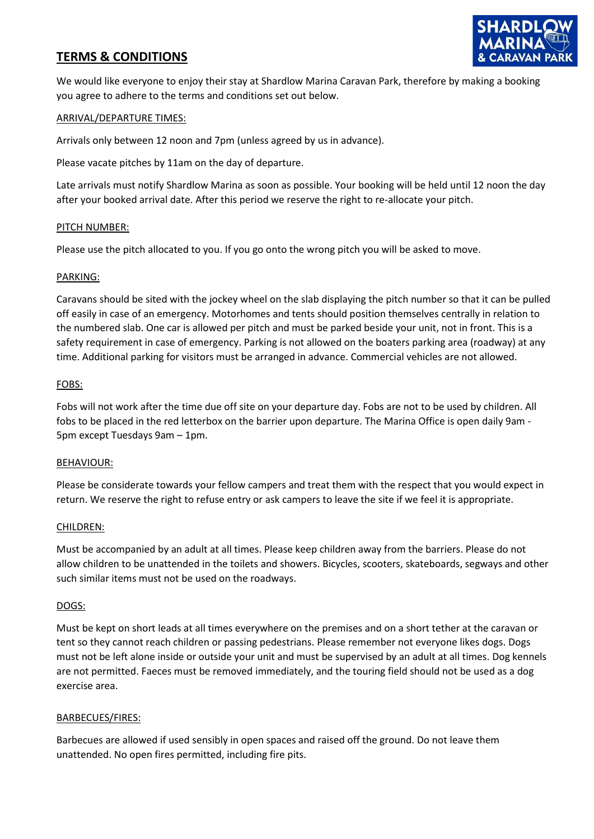# **TERMS & CONDITIONS**



We would like everyone to enjoy their stay at Shardlow Marina Caravan Park, therefore by making a booking you agree to adhere to the terms and conditions set out below.

# ARRIVAL/DEPARTURE TIMES:

Arrivals only between 12 noon and 7pm (unless agreed by us in advance).

Please vacate pitches by 11am on the day of departure.

Late arrivals must notify Shardlow Marina as soon as possible. Your booking will be held until 12 noon the day after your booked arrival date. After this period we reserve the right to re-allocate your pitch.

# PITCH NUMBER:

Please use the pitch allocated to you. If you go onto the wrong pitch you will be asked to move.

# PARKING:

Caravans should be sited with the jockey wheel on the slab displaying the pitch number so that it can be pulled off easily in case of an emergency. Motorhomes and tents should position themselves centrally in relation to the numbered slab. One car is allowed per pitch and must be parked beside your unit, not in front. This is a safety requirement in case of emergency. Parking is not allowed on the boaters parking area (roadway) at any time. Additional parking for visitors must be arranged in advance. Commercial vehicles are not allowed.

# FOBS:

Fobs will not work after the time due off site on your departure day. Fobs are not to be used by children. All fobs to be placed in the red letterbox on the barrier upon departure. The Marina Office is open daily 9am - 5pm except Tuesdays 9am – 1pm.

# BEHAVIOUR:

Please be considerate towards your fellow campers and treat them with the respect that you would expect in return. We reserve the right to refuse entry or ask campers to leave the site if we feel it is appropriate.

# CHILDREN:

Must be accompanied by an adult at all times. Please keep children away from the barriers. Please do not allow children to be unattended in the toilets and showers. Bicycles, scooters, skateboards, segways and other such similar items must not be used on the roadways.

# DOGS:

Must be kept on short leads at all times everywhere on the premises and on a short tether at the caravan or tent so they cannot reach children or passing pedestrians. Please remember not everyone likes dogs. Dogs must not be left alone inside or outside your unit and must be supervised by an adult at all times. Dog kennels are not permitted. Faeces must be removed immediately, and the touring field should not be used as a dog exercise area.

# BARBECUES/FIRES:

Barbecues are allowed if used sensibly in open spaces and raised off the ground. Do not leave them unattended. No open fires permitted, including fire pits.